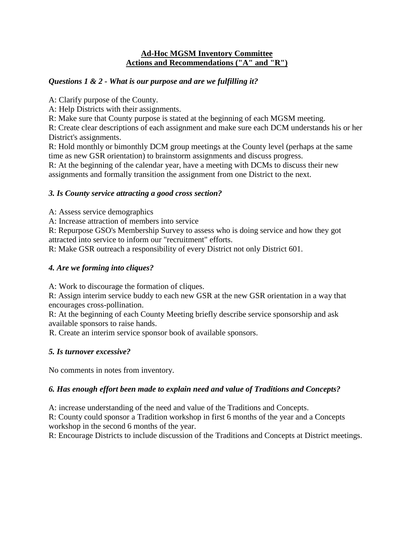#### **Ad-Hoc MGSM Inventory Committee Actions and Recommendations ("A" and "R")**

## *Questions 1 & 2 - What is our purpose and are we fulfilling it?*

A: Clarify purpose of the County.

A: Help Districts with their assignments.

R: Make sure that County purpose is stated at the beginning of each MGSM meeting.

R: Create clear descriptions of each assignment and make sure each DCM understands his or her District's assignments.

R: Hold monthly or bimonthly DCM group meetings at the County level (perhaps at the same time as new GSR orientation) to brainstorm assignments and discuss progress.

R: At the beginning of the calendar year, have a meeting with DCMs to discuss their new assignments and formally transition the assignment from one District to the next.

## *3. Is County service attracting a good cross section?*

A: Assess service demographics

A: Increase attraction of members into service

R: Repurpose GSO's Membership Survey to assess who is doing service and how they got attracted into service to inform our "recruitment" efforts.

R: Make GSR outreach a responsibility of every District not only District 601.

# *4. Are we forming into cliques?*

A: Work to discourage the formation of cliques.

R: Assign interim service buddy to each new GSR at the new GSR orientation in a way that encourages cross-pollination.

R: At the beginning of each County Meeting briefly describe service sponsorship and ask available sponsors to raise hands.

R. Create an interim service sponsor book of available sponsors.

# *5. Is turnover excessive?*

No comments in notes from inventory.

# *6. Has enough effort been made to explain need and value of Traditions and Concepts?*

A: increase understanding of the need and value of the Traditions and Concepts.

R: County could sponsor a Tradition workshop in first 6 months of the year and a Concepts workshop in the second 6 months of the year.

R: Encourage Districts to include discussion of the Traditions and Concepts at District meetings.